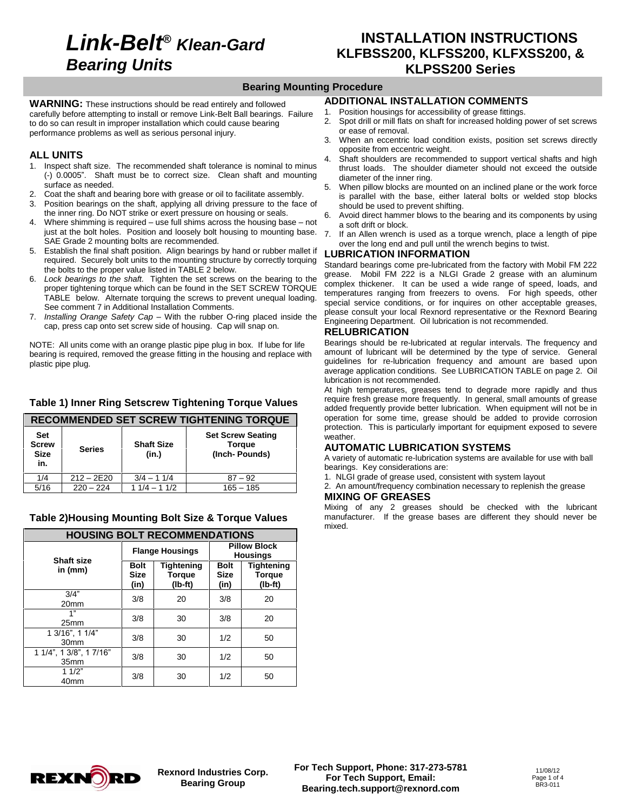# **Link-Belt***<sup>Æ</sup>* **Klean-Gard Bearing Units**

### **INSTALLATION INSTRUCTIONS KLFBSS200, KLFSS200, KLFXSS200, & KLPSS200 Series**

#### **Bearing Mounting Procedure**

**WARNING:** These instructions should be read entirely and followed carefully before attempting to install or remove Link-Belt Ball bearings. Failure 1.<br>to do so can result in impropor installation which could sause bearing. to do so can result in improper installation which could cause bearing performance problems as well as serious personal injury.

#### **ALL UNITS**

- 1. Inspect shaft size. The recommended shaft tolerance is nominal to minus (-) 0.0005î. Shaft must be to correct size. Clean shaft and mounting surface as needed.
- Coat the shaft and bearing bore with grease or oil to facilitate assembly.
- 3. Position bearings on the shaft, applying all driving pressure to the face of the inner ring. Do NOT strike or exert pressure on housing or seals. 6. the inner ring. Do NOT strike or exert pressure on housing or seals.<br>Where shimming is required – use full shims across the housing base – not
- just at the bolt holes. Position and loosely bolt housing to mounting base. SAE Grade 2 mounting bolts are recommended.
- 5. Establish the final shaft position. Align bearings by hand or rubber mallet if required. Securely bolt units to the mounting structure by correctly torquing the bolts to the proper value listed in TABLE 2 below.
- 6. Lock bearings to the shaft. Tighten the set screws on the bearing to the proper tightening torque which can be found in the SET SCREW TORQUE TABLE below. Alternate torquing the screws to prevent unequal loading. See comment 7 in Additional Installation Comments.
- 7. Installing Orange Safety Cap With the rubber O-ring placed inside the cap, press cap onto set screw side of housing. Cap will snap on.

NOTE: All units come with an orange plastic pipe plug in box. If lube for life bearing is required, removed the grease fitting in the housing and replace with plastic pipe plug.

### **Table 1) Inner Ring Setscrew Tightening Torque Values**

|                                                  |               |                            | RECOMMENDED SET SCREW TIGHTENING TORQUE                    | oper                              |
|--------------------------------------------------|---------------|----------------------------|------------------------------------------------------------|-----------------------------------|
| <b>Set</b><br><b>Screw</b><br><b>Size</b><br>in. | <b>Series</b> | <b>Shaft Size</b><br>(in.) | <b>Set Screw Seating</b><br><b>Torque</b><br>(Inch-Pounds) | prot<br>wea<br>AU<br>A va<br>bear |
| 1/4                                              | $212 - 2E20$  | $3/4 - 11/4$               | $87 - 92$                                                  | 1. N                              |
| 5/16                                             | $220 - 224$   | $11/4 - 11/2$              | $165 - 185$                                                | $2. \n{F}$<br>                    |

### **Table 2)Housing Mounting Bolt Size & Torque Values**

|                                             | <b>HOUSING BOLT RECOMMENDATIONS</b> |                                   |                                        |                                               |  |  |  |  |  |
|---------------------------------------------|-------------------------------------|-----------------------------------|----------------------------------------|-----------------------------------------------|--|--|--|--|--|
| Shaft size                                  |                                     | <b>Flange Housings</b>            | <b>Pillow Block</b><br><b>Housings</b> |                                               |  |  |  |  |  |
| in (mm)                                     | <b>Bolt</b><br><b>Size</b><br>(in)  | Tightening<br>Torque<br>$(Ib-ft)$ | <b>Bolt</b><br><b>Size</b><br>(in)     | <b>Tightening</b><br><b>Torque</b><br>(lb-ft) |  |  |  |  |  |
| 3/4"<br>20 <sub>mm</sub>                    | 3/8                                 | 20                                | 3/8                                    | 20                                            |  |  |  |  |  |
| 1"<br>25mm                                  | 3/8                                 | 30                                | 3/8                                    | 20                                            |  |  |  |  |  |
| 1 3/16", 1 1/4"<br>30 <sub>mm</sub>         | 3/8                                 | 30                                | 1/2                                    | 50                                            |  |  |  |  |  |
| 1 1/4", 1 3/8", 1 7/16"<br>35 <sub>mm</sub> | 3/8                                 | 30                                | 1/2                                    | 50                                            |  |  |  |  |  |
| 11/2"<br>40 <sub>mm</sub>                   | 3/8                                 | 30                                | 1/2                                    | 50                                            |  |  |  |  |  |

#### **ADDITIONAL INSTALLATION COMMENTS**

- Position housings for accessibility of grease fittings.
- 2. Spot drill or mill flats on shaft for increased holding power of set screws or ease of removal.
- 3. When an eccentric load condition exists, position set screws directly opposite from eccentric weight.
- Shaft shoulders are recommended to support vertical shafts and high thrust loads. The shoulder diameter should not exceed the outside diameter of the inner ring.
- 5. When pillow blocks are mounted on an inclined plane or the work force is parallel with the base, either lateral bolts or welded stop blocks should be used to prevent shifting.
- 6. Avoid direct hammer blows to the bearing and its components by using a soft drift or block.
- 7. If an Allen wrench is used as a torque wrench, place a length of pipe over the long end and pull until the wrench begins to twist.

#### **LUBRICATION INFORMATION**

Standard bearings come pre-lubricated from the factory with Mobil FM 222 grease. Mobil FM 222 is a NLGI Grade 2 grease with an aluminum complex thickener. It can be used a wide range of speed, loads, and temperatures ranging from freezers to ovens. For high speeds, other special service conditions, or for inquires on other acceptable greases, please consult your local Rexnord representative or the Rexnord Bearing Engineering Department. Oil lubrication is not recommended.

#### **RELUBRICATION**

Bearings should be re-lubricated at regular intervals. The frequency and amount of lubricant will be determined by the type of service. General guidelines for re-lubrication frequency and amount are based upon average application conditions. See LUBRICATION TABLE on page 2. Oil lubrication is not recommended.

At high temperatures, greases tend to degrade more rapidly and thus require fresh grease more frequently. In general, small amounts of grease added frequently provide better lubrication. When equipment will not be in operation for some time, grease should be added to provide corrosion protection. This is particularly important for equipment exposed to severe weather.

#### **AUTOMATIC LUBRICATION SYSTEMS**

A variety of automatic re-lubrication systems are available for use with ball bearings. Key considerations are:

- 1. NLGI grade of grease used, consistent with system layout
- 2. An amount/frequency combination necessary to replenish the grease **MIXING OF GREASES**

Mixing of any 2 greases should be checked with the lubricant manufacturer. If the grease bases are different they should never be mixed.

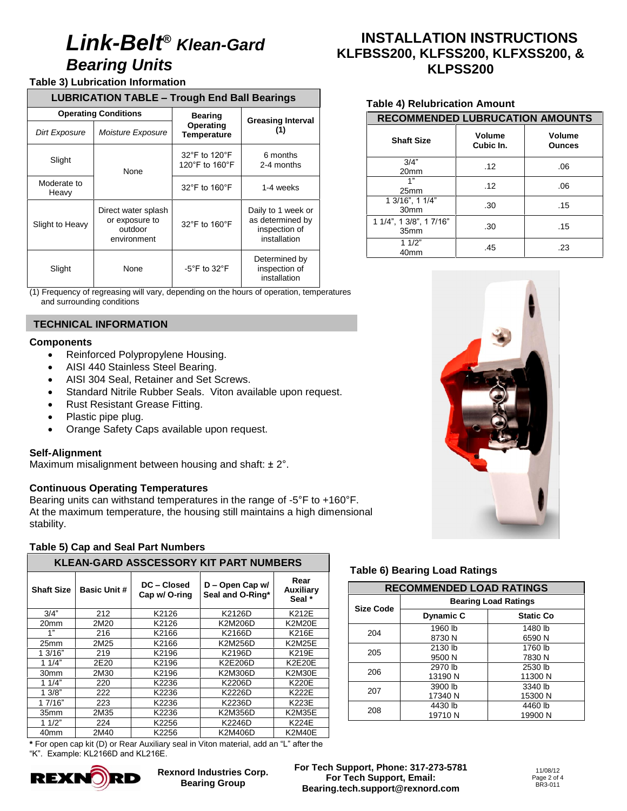# **Link-Belt***<sup>Æ</sup>* **Klean-Gard Bearing Units**

#### **Table 3) Lubrication Information**

| <b>Table 3) Lubrication Information</b> |                             |                                                                                                                         |                                                                                                     |                                                                                                                                                                                                               |  |
|-----------------------------------------|-----------------------------|-------------------------------------------------------------------------------------------------------------------------|-----------------------------------------------------------------------------------------------------|---------------------------------------------------------------------------------------------------------------------------------------------------------------------------------------------------------------|--|
|                                         |                             |                                                                                                                         | <b>LUBRICATION TABLE - Trough End Ball Bearings</b>                                                 |                                                                                                                                                                                                               |  |
|                                         | <b>Operating Conditions</b> |                                                                                                                         |                                                                                                     |                                                                                                                                                                                                               |  |
| Dirt Exposure                           |                             | Moisture Exposure                                                                                                       | <b>Bearing</b><br>Operating<br>Temperature                                                          | <b>Greasing Interval</b><br>(1)                                                                                                                                                                               |  |
| Slight                                  |                             | None                                                                                                                    | 32°F to 120°F<br>120°F to 160°F                                                                     | 6 months<br>2-4 months                                                                                                                                                                                        |  |
| Moderate to<br>Heavy                    |                             |                                                                                                                         | 32°F to 160°F                                                                                       | 1-4 weeks                                                                                                                                                                                                     |  |
| Slight to Heavy                         |                             | Direct water splash<br>or exposure to<br>outdoor<br>environment                                                         | 32°F to 160°F                                                                                       | Daily to 1 week or<br>as determined by<br>inspection of<br>installation                                                                                                                                       |  |
| Slight                                  |                             | None                                                                                                                    | $-5^{\circ}$ F to 32 $^{\circ}$ F                                                                   | Determined by<br>inspection of<br>installation                                                                                                                                                                |  |
|                                         | and surrounding conditions  |                                                                                                                         |                                                                                                     | (1) Frequency of regreasing will vary, depending on the hours of operation, temperatur                                                                                                                        |  |
|                                         |                             | <b>TECHNICAL INFORMATION</b>                                                                                            |                                                                                                     |                                                                                                                                                                                                               |  |
| <b>Components</b>                       |                             |                                                                                                                         |                                                                                                     |                                                                                                                                                                                                               |  |
|                                         |                             |                                                                                                                         |                                                                                                     |                                                                                                                                                                                                               |  |
| <b>Self-Alignment</b><br>stability.     | Plastic pipe plug.          | Rust Resistant Grease Fitting.<br><b>Continuous Operating Temperatures</b><br><b>Table 5) Cap and Seal Part Numbers</b> | Orange Safety Caps available upon request.<br>Maximum misalignment between housing and shaft: ± 2°. | Standard Nitrile Rubber Seals. Viton available upon request.<br>Bearing units can withstand temperatures in the range of -5°F to +160<br>At the maximum temperature, the housing still maintains a high dimer |  |
|                                         |                             |                                                                                                                         |                                                                                                     | KLEAN-GARD ASSCESSORY KIT PART NUMBERS                                                                                                                                                                        |  |
| <b>Shaft Size</b>                       | <b>Basic Unit #</b>         | DC - Closed<br>Cap w/ O-ring                                                                                            |                                                                                                     | Rear<br>D - Open Cap w/<br><b>Auxiliary</b><br>Seal and O-Ring*<br>Seal *                                                                                                                                     |  |
| 3/4"                                    | 212                         | K2126                                                                                                                   |                                                                                                     | K2126D<br>K212E                                                                                                                                                                                               |  |
| 20mm                                    | 2M20                        | K2126                                                                                                                   |                                                                                                     | K2M206D<br><b>K2M20E</b>                                                                                                                                                                                      |  |
| 1"                                      | 216                         | K2166                                                                                                                   |                                                                                                     | K2166D<br>K216E                                                                                                                                                                                               |  |
| 25mm                                    | 2M25                        | K2166                                                                                                                   |                                                                                                     | <b>K2M256D</b><br><b>K2M25E</b>                                                                                                                                                                               |  |
| 1 3/16"                                 | 219                         | K2196                                                                                                                   |                                                                                                     | K2196D<br>K219E                                                                                                                                                                                               |  |
| 11/4"                                   | 2E20                        | K2196                                                                                                                   |                                                                                                     | K2E206D<br><b>K2E20E</b>                                                                                                                                                                                      |  |
| 30mm                                    | 2M30                        | K2196                                                                                                                   |                                                                                                     | K2M306D<br>K2M30E                                                                                                                                                                                             |  |
| 11/4"                                   | 220                         | K2236                                                                                                                   |                                                                                                     | K2206D<br><b>K220E</b>                                                                                                                                                                                        |  |
| 13/8"<br>17/16"                         | 222<br>223                  | K2236                                                                                                                   |                                                                                                     | K2226D<br><b>K222E</b><br>K223E                                                                                                                                                                               |  |
| 35mm                                    | 2M35                        | K2236                                                                                                                   |                                                                                                     | K2236D                                                                                                                                                                                                        |  |
| 11/2"                                   | 224                         | K2236<br>K2256                                                                                                          |                                                                                                     | K2M356D<br>K2M35E<br>K2246D<br><b>K224E</b>                                                                                                                                                                   |  |

(1) Frequency of regreasing will vary, depending on the hours of operation, temperatures and surrounding conditions

# **TECHNICAL INFORMATION**

#### **Components**

- n**ponents**<br>● Reinforced Polypropylene Housing.
- Reinforced Polypropylene Housing.<br>● AISI 440 Stainless Steel Bearing.
- AISI 440 Stainless Steel Bearing.<br>• AISI 304 Seal, Retainer and Set Screws.
- AISI 304 Seal, Retainer and Set Screws.<br>• Standard Nitrile Rubber Seals. Viton available upon request. - Standard Nitrile Rubber Seals. Viton available upon<br>- Rust Resistant Grease Fitting.<br>- Plastic pipe plug.<br>- Orange Safety Caps available upon request.
- Rust Resistant Grease Fitting.<br>• Plastic pipe plug.
- 
- Orange Safety Caps available upon request.

#### **Self-Alignment**

#### **Continuous Operating Temperatures**

Bearing units can withstand temperatures in the range of  $-5^{\circ}F$  to  $+160^{\circ}F$ . Continuous Operating Temperatures<br>Bearing units can withstand temperatures in the range of -5°F to +160°F.<br>At the maximum temperature, the housing still maintains a high dimensional stability.

#### **Table 5) Cap and Seal Part Numbers**

|                   | <b>KLEAN-GARD ASSCESSORY KIT PART NUMBERS</b> |                              |                                     |                             |  |  |  |  |  |
|-------------------|-----------------------------------------------|------------------------------|-------------------------------------|-----------------------------|--|--|--|--|--|
| <b>Shaft Size</b> | <b>Basic Unit #</b>                           | DC - Closed<br>Cap w/ O-ring | D - Open Cap w/<br>Seal and O-Ring* | Rear<br>Auxiliary<br>Seal * |  |  |  |  |  |
| 3/4"              | 212                                           | K2126                        | K2126D                              | K212E                       |  |  |  |  |  |
| 20mm              | 2M20                                          | K2126                        | K2M206D                             | <b>K2M20E</b>               |  |  |  |  |  |
| 1"                | 216                                           | K2166                        | K2166D                              | K216E                       |  |  |  |  |  |
| 25mm              | 2M25                                          | K2166                        | K2M256D                             | <b>K2M25E</b>               |  |  |  |  |  |
| 1 3/16"           | 219                                           | K2196                        | K2196D                              | K219E                       |  |  |  |  |  |
| 11/4"             | 2E20                                          | K2196                        | K2E206D                             | <b>K2E20E</b>               |  |  |  |  |  |
| 30mm              | 2M30                                          | K2196                        | <b>K2M306D</b>                      | K2M30E                      |  |  |  |  |  |
| 11/4"             | 220                                           | K2236                        | K2206D                              | K220E                       |  |  |  |  |  |
| 13/8"             | 222                                           | K2236                        | K2226D                              | K222E                       |  |  |  |  |  |
| 17/16"            | 223                                           | K2236                        | K2236D                              | K223E                       |  |  |  |  |  |
| 35 <sub>mm</sub>  | 2M35                                          | K2236                        | K2M356D                             | K2M35E                      |  |  |  |  |  |
| 11/2"             | 224                                           | K2256                        | K2246D                              | <b>K224E</b>                |  |  |  |  |  |
| 40mm              | 2M40                                          | K2256                        | K2M406D                             | <b>K2M40E</b>               |  |  |  |  |  |

**\*** For open cap kit (D) or Rear Auxiliary seal in Viton material, add an "L" after the<br> **\*** For open cap kit (D) or Rear Auxiliary seal in Viton material, add an "L" after the<br>
"K". Example: KL2166D and KL216E.



**Rexnord Industries Corp. Bearing Group**

## **Gard INSTALLATION INSTRUCTIONS KLFBSS200, KLFSS200, KLFXSS200, & KLPSS200 KLPSS200**

#### **Table 4) Relubrication Amount**

| <b>RECOMMENDED LUBRUCATION AMOUNTS</b>      |                     |                         |  |  |  |  |  |  |
|---------------------------------------------|---------------------|-------------------------|--|--|--|--|--|--|
| <b>Shaft Size</b>                           | Volume<br>Cubic In. | Volume<br><b>Ounces</b> |  |  |  |  |  |  |
| 3/4"<br>20mm                                | .12                 | .06                     |  |  |  |  |  |  |
| 1"<br>25mm                                  | .12                 | .06                     |  |  |  |  |  |  |
| 1 3/16", 1 1/4"<br>30 <sub>mm</sub>         | .30                 | .15                     |  |  |  |  |  |  |
| 1 1/4", 1 3/8", 1 7/16"<br>35 <sub>mm</sub> | .30                 | .15                     |  |  |  |  |  |  |
| 11/2"<br>40mm                               | .45                 | .23                     |  |  |  |  |  |  |



| <b>RECOMMENDED LOAD RATINGS</b> |                             |                  |  |  |  |  |  |
|---------------------------------|-----------------------------|------------------|--|--|--|--|--|
| <b>Size Code</b>                | <b>Bearing Load Ratings</b> |                  |  |  |  |  |  |
|                                 | <b>Dynamic C</b>            | <b>Static Co</b> |  |  |  |  |  |
|                                 | 1960 lb                     | 1480 lb          |  |  |  |  |  |
| 204                             | 8730 N                      | 6590 N           |  |  |  |  |  |
| 205                             | 2130 lb                     | 1760 lb          |  |  |  |  |  |
|                                 | 9500 N                      | 7830 N           |  |  |  |  |  |
| 206                             | 2970 lb                     | 2530 lb          |  |  |  |  |  |
|                                 | 13190 N                     | 11300 N          |  |  |  |  |  |
| 207                             | 3900 lb                     | 3340 lb          |  |  |  |  |  |
|                                 | 17340 N                     | 15300 N          |  |  |  |  |  |
| 208                             | 4430 lb                     | 4460 lb          |  |  |  |  |  |
|                                 | 19710 N                     | 19900 N          |  |  |  |  |  |

 **For Tech Support, Phone: 317-273-5781 For Tech Support, Email: [Bearing.tech.support@rexnord.com](mailto:Bearing.tech.support@rexnord.com)**

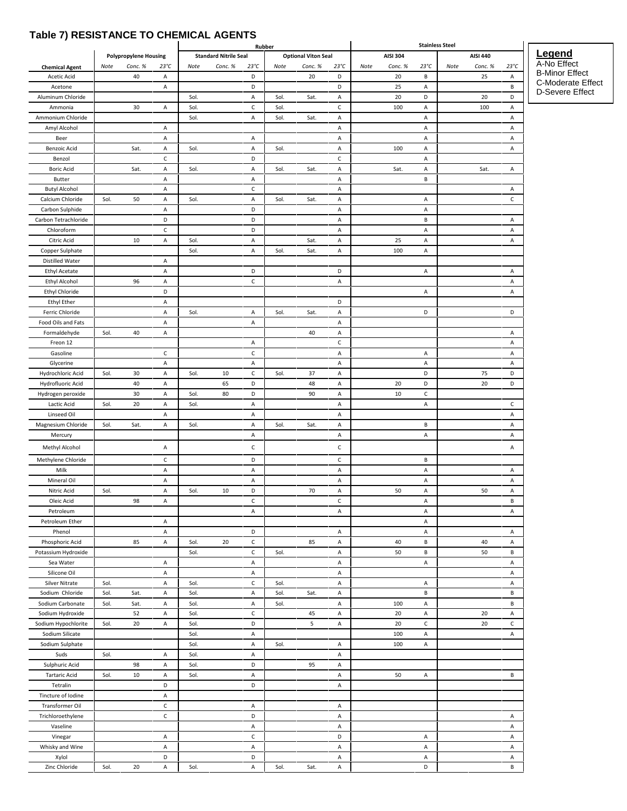### $\cdot$  , ,

|                                       |      |                              |                   |      |                              | Rubber             |      |                            |                    |      |                 | <b>Stainless Steel</b> |      |                 |               |
|---------------------------------------|------|------------------------------|-------------------|------|------------------------------|--------------------|------|----------------------------|--------------------|------|-----------------|------------------------|------|-----------------|---------------|
|                                       |      | <b>Polypropylene Housing</b> |                   |      | <b>Standard Nitrile Seal</b> |                    |      | <b>Optional Viton Seal</b> |                    |      | <b>AISI 304</b> |                        |      | <b>AISI 440</b> |               |
| <b>Chemical Agent</b>                 | Note | Conc. %<br>40                | $23^{\circ}C$     | Note | Conc. %                      | $23^{\circ}C$<br>D | Note | Conc. %<br>20              | $23^{\circ}C$<br>D | Note | Conc. %<br>20   | $23^{\circ}C$<br>В     | Note | Conc. %<br>25   | $23^{\circ}C$ |
| Acetic Acid<br>Acetone                |      |                              | Α<br>Α            |      |                              | D                  |      |                            | D                  |      | 25              | Α                      |      |                 | Α<br>В        |
| Aluminum Chloride                     |      |                              |                   | Sol. |                              | А                  | Sol. | Sat.                       | А                  |      | 20              | D                      |      | 20              | D             |
| Ammonia                               |      | 30                           | А                 | Sol. |                              | c                  | Sol. |                            | C                  |      | 100             | Α                      |      | 100             | Α             |
| Ammonium Chloride                     |      |                              |                   | Sol. |                              | А                  | Sol. | Sat.                       | Α                  |      |                 | Α                      |      |                 | А             |
| Amyl Alcohol                          |      |                              | Α                 |      |                              |                    |      |                            | Α                  |      |                 | Α                      |      |                 | Α             |
| Beer                                  |      |                              | А                 |      |                              | А                  |      |                            | А                  |      |                 | Α                      |      |                 | А             |
| <b>Benzoic Acid</b>                   |      | Sat.                         | А                 | Sol. |                              | А                  | Sol. |                            | Α                  |      | 100             | Α                      |      |                 | Α             |
| Benzol                                |      |                              | $\mathsf{C}$      |      |                              | D                  |      |                            | с                  |      |                 | Α                      |      |                 |               |
| <b>Boric Acid</b><br>Butter           |      | Sat.                         | Α<br>Α            | Sol. |                              | Α<br>А             | Sol. | Sat.                       | А<br>Α             |      | Sat.            | Α<br>В                 |      | Sat.            | А             |
| <b>Butyl Alcohol</b>                  |      |                              | Α                 |      |                              | $\mathsf{C}$       |      |                            | Α                  |      |                 |                        |      |                 | Α             |
| Calcium Chloride                      | Sol. | 50                           | Α                 | Sol. |                              | Α                  | Sol. | Sat.                       | А                  |      |                 | Α                      |      |                 | $\mathsf{C}$  |
| Carbon Sulphide                       |      |                              | А                 |      |                              | D                  |      |                            | Α                  |      |                 | Α                      |      |                 |               |
| Carbon Tetrachloride                  |      |                              | D                 |      |                              | D                  |      |                            | Α                  |      |                 | В                      |      |                 | Α             |
| Chloroform                            |      |                              | $\mathsf{C}$      |      |                              | D                  |      |                            | А                  |      |                 | Α                      |      |                 | А             |
| Citric Acid                           |      | 10                           | A                 | Sol. |                              | А                  |      | Sat.                       | Α                  |      | 25              | Α                      |      |                 | Α             |
| Copper Sulphate                       |      |                              |                   | Sol. |                              | Α                  | Sol. | Sat.                       | А                  |      | 100             | Α                      |      |                 |               |
| Distilled Water                       |      |                              | Α                 |      |                              |                    |      |                            |                    |      |                 |                        |      |                 |               |
| <b>Ethyl Acetate</b>                  |      |                              | А                 |      |                              | D                  |      |                            | D                  |      |                 | Α                      |      |                 | А             |
| Ethyl Alcohol                         |      | 96                           | А                 |      |                              | $\mathsf{C}$       |      |                            | А                  |      |                 |                        |      |                 | Α             |
| Ethyl Chloride                        |      |                              | D                 |      |                              |                    |      |                            |                    |      |                 | Α                      |      |                 | А             |
| <b>Ethyl Ether</b>                    |      |                              | А<br>А            |      |                              |                    |      |                            | D                  |      |                 | D                      |      |                 | D             |
| Ferric Chloride<br>Food Oils and Fats |      |                              | А                 | Sol. |                              | Α<br>A             | Sol. | Sat.                       | А<br>Α             |      |                 |                        |      |                 |               |
| Formaldehyde                          | Sol. | 40                           | Α                 |      |                              |                    |      | 40                         | Α                  |      |                 |                        |      |                 | Α             |
| Freon 12                              |      |                              |                   |      |                              | Α                  |      |                            | с                  |      |                 |                        |      |                 | Α             |
| Gasoline                              |      |                              | с                 |      |                              | c                  |      |                            | А                  |      |                 | Α                      |      |                 | Α             |
| Glycerine                             |      |                              | Α                 |      |                              | Α                  |      |                            | Α                  |      |                 | Α                      |      |                 | Α             |
| Hydrochloric Acid                     | Sol. | 30                           | А                 | Sol. | 10                           | $\mathsf{C}$       | Sol. | 37                         | А                  |      |                 | D                      |      | 75              | D             |
| Hydrofluoric Acid                     |      | 40                           | Α                 |      | 65                           | D                  |      | 48                         | Α                  |      | 20              | D                      |      | 20              | D             |
| Hydrogen peroxide                     |      | 30                           | А                 | Sol. | 80                           | D                  |      | 90                         | Α                  |      | 10              | $\mathsf{C}$           |      |                 |               |
| Lactic Acid                           | Sol. | 20                           | Α                 | Sol. |                              | A                  |      |                            | Α                  |      |                 | Α                      |      |                 | $\mathsf{C}$  |
| Linseed Oil                           |      |                              | А                 |      |                              | A                  |      |                            | А                  |      |                 |                        |      |                 | А             |
| Magnesium Chloride                    | Sol. | Sat.                         | Α                 | Sol. |                              | A                  | Sol. | Sat.                       | Α                  |      |                 | В                      |      |                 | А             |
| Mercury                               |      |                              |                   |      |                              | Α                  |      |                            | А                  |      |                 | Α                      |      |                 | Α             |
| Methyl Alcohol                        |      |                              | А                 |      |                              | С                  |      |                            | C                  |      |                 |                        |      |                 | Α             |
| Methylene Chloride                    |      |                              | с                 |      |                              | D                  |      |                            | с                  |      |                 | В                      |      |                 |               |
| Milk                                  |      |                              | A                 |      |                              | A                  |      |                            | А                  |      |                 | A                      |      |                 | Α             |
| Mineral Oil                           |      |                              | А                 |      |                              | A                  |      |                            | Α                  |      |                 | А                      |      |                 | Α             |
| Nitric Acid                           | Sol. |                              | А                 | Sol. | 10                           | D                  |      | 70                         | Α                  |      | 50              | А                      |      | 50              | Α             |
| Oleic Acid                            |      | 98                           | А                 |      |                              | $\mathsf{C}$       |      |                            | $\mathsf C$        |      |                 | А                      |      |                 | B             |
| Petroleum                             |      |                              |                   |      |                              | A                  |      |                            | А                  |      |                 | А                      |      |                 | Α             |
| Petroleum Ether                       |      |                              | А                 |      |                              |                    |      |                            |                    |      |                 | А                      |      |                 |               |
| Phenol<br>Phosphoric Acid             |      | 85                           | А<br>А            | Sol. | 20                           | D<br>$\mathsf{C}$  |      | 85                         | А                  |      | 40              | А<br>В                 |      | 40              | Α<br>Α        |
| Potassium Hydroxide                   |      |                              |                   | Sol. |                              | $\mathsf{C}$       | Sol. |                            | A<br>А             |      | 50              | В                      |      | 50              | В             |
| Sea Water                             |      |                              | А                 |      |                              | A                  |      |                            | А                  |      |                 | A                      |      |                 | Α             |
| Silicone Oil                          |      |                              | Α                 |      |                              | A                  |      |                            | Α                  |      |                 |                        |      |                 | Α             |
| <b>Silver Nitrate</b>                 | Sol. |                              | А                 | Sol. |                              | $\mathsf{C}$       | Sol. |                            | А                  |      |                 | Α                      |      |                 | Α             |
| Sodium Chloride                       | Sol. | Sat.                         | А                 | Sol. |                              | A                  | Sol. | Sat.                       | А                  |      |                 | В                      |      |                 | В             |
| Sodium Carbonate                      | Sol. | Sat.                         | А                 | Sol. |                              | A                  | Sol. |                            | Α                  |      | 100             | А                      |      |                 | В             |
| Sodium Hydroxide                      |      | 52                           | А                 | Sol. |                              | c                  |      | 45                         | Α                  |      | 20              | А                      |      | 20              | Α             |
| Sodium Hypochlorite                   | Sol. | 20                           | А                 | Sol. |                              | D                  |      | 5                          | А                  |      | 20              | $\mathsf{C}$           |      | 20              | $\mathsf{C}$  |
| Sodium Silicate                       |      |                              |                   | Sol. |                              | A                  |      |                            |                    |      | 100             | А                      |      |                 | Α             |
| Sodium Sulphate                       |      |                              |                   | Sol. |                              | A                  | Sol. |                            | Α                  |      | 100             | А                      |      |                 |               |
| Suds                                  | Sol. |                              | А                 | Sol. |                              | A                  |      |                            | А                  |      |                 |                        |      |                 |               |
| Sulphuric Acid                        |      | 98                           | А                 | Sol. |                              | D                  |      | 95                         | Α                  |      |                 |                        |      |                 |               |
| <b>Tartaric Acid</b>                  | Sol. | 10                           | А                 | Sol. |                              | A                  |      |                            | А                  |      | 50              | Α                      |      |                 | В             |
| Tetralin                              |      |                              | D                 |      |                              | D                  |      |                            | А                  |      |                 |                        |      |                 |               |
| Tincture of Iodine                    |      |                              | A                 |      |                              |                    |      |                            |                    |      |                 |                        |      |                 |               |
| Transformer Oil                       |      |                              | С<br>$\mathsf{C}$ |      |                              | A<br>D             |      |                            | А                  |      |                 |                        |      |                 |               |
| Trichloroethylene<br>Vaseline         |      |                              |                   |      |                              | A                  |      |                            | А                  |      |                 |                        |      |                 | Α<br>Α        |
| Vinegar                               |      |                              | А                 |      |                              | $\mathsf{C}$       |      |                            | A<br>D             |      |                 | А                      |      |                 | Α             |
| Whisky and Wine                       |      |                              | А                 |      |                              | A                  |      |                            | А                  |      |                 | А                      |      |                 | А             |
| Xylol                                 |      |                              | D                 |      |                              | D                  |      |                            | Α                  |      |                 | А                      |      |                 | Α             |
|                                       |      |                              |                   |      |                              |                    |      |                            |                    |      |                 |                        |      |                 |               |

**Legend** A-No Effect B-Minor Effect C-Moderate Effect D-Severe Effect